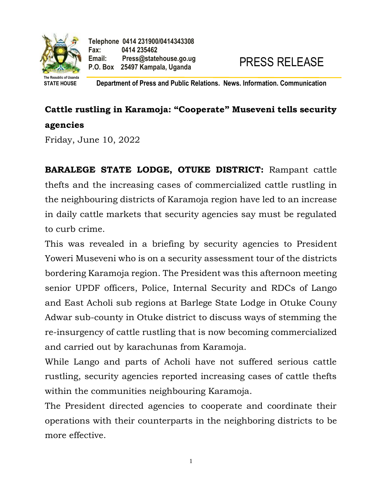

**STATE HOUSE Department of Press and Public Relations. News. Information. Communication**

## **Cattle rustling in Karamoja: "Cooperate" Museveni tells security agencies**

Friday, June 10, 2022

**BARALEGE STATE LODGE, OTUKE DISTRICT:** Rampant cattle thefts and the increasing cases of commercialized cattle rustling in the neighbouring districts of Karamoja region have led to an increase in daily cattle markets that security agencies say must be regulated to curb crime.

This was revealed in a briefing by security agencies to President Yoweri Museveni who is on a security assessment tour of the districts bordering Karamoja region. The President was this afternoon meeting senior UPDF officers, Police, Internal Security and RDCs of Lango and East Acholi sub regions at Barlege State Lodge in Otuke Couny Adwar sub-county in Otuke district to discuss ways of stemming the re-insurgency of cattle rustling that is now becoming commercialized and carried out by karachunas from Karamoja.

While Lango and parts of Acholi have not suffered serious cattle rustling, security agencies reported increasing cases of cattle thefts within the communities neighbouring Karamoja.

The President directed agencies to cooperate and coordinate their operations with their counterparts in the neighboring districts to be more effective.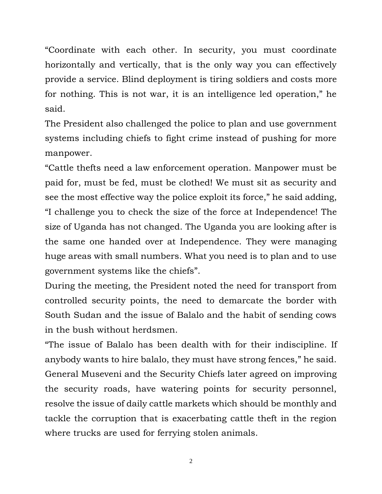"Coordinate with each other. In security, you must coordinate horizontally and vertically, that is the only way you can effectively provide a service. Blind deployment is tiring soldiers and costs more for nothing. This is not war, it is an intelligence led operation," he said.

The President also challenged the police to plan and use government systems including chiefs to fight crime instead of pushing for more manpower.

"Cattle thefts need a law enforcement operation. Manpower must be paid for, must be fed, must be clothed! We must sit as security and see the most effective way the police exploit its force," he said adding, "I challenge you to check the size of the force at Independence! The size of Uganda has not changed. The Uganda you are looking after is the same one handed over at Independence. They were managing huge areas with small numbers. What you need is to plan and to use government systems like the chiefs".

During the meeting, the President noted the need for transport from controlled security points, the need to demarcate the border with South Sudan and the issue of Balalo and the habit of sending cows in the bush without herdsmen.

"The issue of Balalo has been dealth with for their indiscipline. If anybody wants to hire balalo, they must have strong fences," he said. General Museveni and the Security Chiefs later agreed on improving the security roads, have watering points for security personnel, resolve the issue of daily cattle markets which should be monthly and tackle the corruption that is exacerbating cattle theft in the region where trucks are used for ferrying stolen animals.

2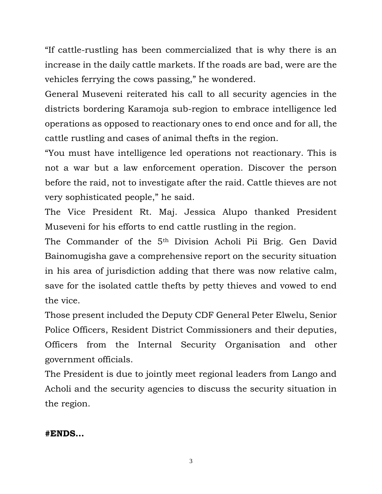"If cattle-rustling has been commercialized that is why there is an increase in the daily cattle markets. If the roads are bad, were are the vehicles ferrying the cows passing," he wondered.

General Museveni reiterated his call to all security agencies in the districts bordering Karamoja sub-region to embrace intelligence led operations as opposed to reactionary ones to end once and for all, the cattle rustling and cases of animal thefts in the region.

"You must have intelligence led operations not reactionary. This is not a war but a law enforcement operation. Discover the person before the raid, not to investigate after the raid. Cattle thieves are not very sophisticated people," he said.

The Vice President Rt. Maj. Jessica Alupo thanked President Museveni for his efforts to end cattle rustling in the region.

The Commander of the 5th Division Acholi Pii Brig. Gen David Bainomugisha gave a comprehensive report on the security situation in his area of jurisdiction adding that there was now relative calm, save for the isolated cattle thefts by petty thieves and vowed to end the vice.

Those present included the Deputy CDF General Peter Elwelu, Senior Police Officers, Resident District Commissioners and their deputies, Officers from the Internal Security Organisation and other government officials.

The President is due to jointly meet regional leaders from Lango and Acholi and the security agencies to discuss the security situation in the region.

**#ENDS…**

3